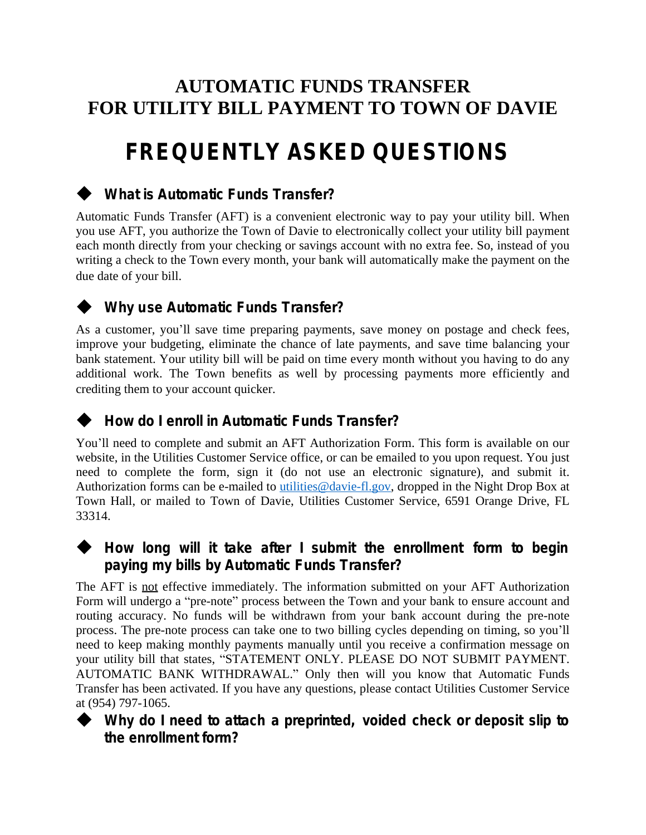## **AUTOMATIC FUNDS TRANSFER FOR UTILITY BILL PAYMENT TO TOWN OF DAVIE**

# **FREQUENTLY ASKED QUESTIONS**

### **What is Automatic Funds Transfer?**

Automatic Funds Transfer (AFT) is a convenient electronic way to pay your utility bill. When you use AFT, you authorize the Town of Davie to electronically collect your utility bill payment each month directly from your checking or savings account with no extra fee. So, instead of you writing a check to the Town every month, your bank will automatically make the payment on the due date of your bill.



### **Why use Automatic Funds Transfer?**

As a customer, you'll save time preparing payments, save money on postage and check fees, improve your budgeting, eliminate the chance of late payments, and save time balancing your bank statement. Your utility bill will be paid on time every month without you having to do any additional work. The Town benefits as well by processing payments more efficiently and crediting them to your account quicker.

#### **How do I enroll in Automatic Funds Transfer?**

You'll need to complete and submit an AFT Authorization Form. This form is available on our website, in the Utilities Customer Service office, or can be emailed to you upon request. You just need to complete the form, sign it (do not use an electronic signature), and submit it. Authorization forms can be e-mailed to [utilities@davie-fl.gov,](mailto:utilities@davie-fl.gov) dropped in the Night Drop Box at Town Hall, or mailed to Town of Davie, Utilities Customer Service, 6591 Orange Drive, FL 33314.

#### **How long will it take after I submit the enrollment form to begin paying my bills by Automatic Funds Transfer?**

The AFT is not effective immediately. The information submitted on your AFT Authorization Form will undergo a "pre-note" process between the Town and your bank to ensure account and routing accuracy. No funds will be withdrawn from your bank account during the pre-note process. The pre-note process can take one to two billing cycles depending on timing, so you'll need to keep making monthly payments manually until you receive a confirmation message on your utility bill that states, "STATEMENT ONLY. PLEASE DO NOT SUBMIT PAYMENT. AUTOMATIC BANK WITHDRAWAL." Only then will you know that Automatic Funds Transfer has been activated. If you have any questions, please contact Utilities Customer Service at (954) 797-1065.



 **Why do I need to attach a preprinted, voided check or deposit slip to the enrollment form?**